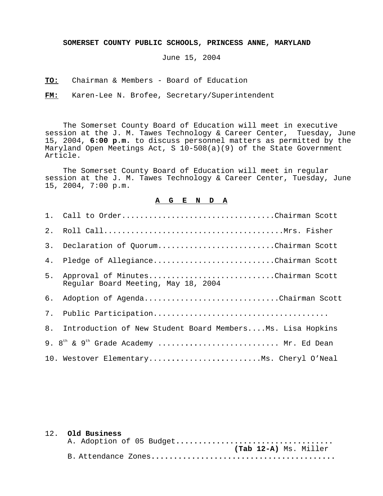**SOMERSET COUNTY PUBLIC SCHOOLS, PRINCESS ANNE, MARYLAND**

June 15, 2004

**TO:** Chairman & Members - Board of Education

**FM:** Karen-Lee N. Brofee, Secretary/Superintendent

The Somerset County Board of Education will meet in executive session at the J. M. Tawes Technology & Career Center, Tuesday, June 15, 2004, **6:00 p.m.** to discuss personnel matters as permitted by the Maryland Open Meetings Act, S 10-508(a)(9) of the State Government Article.

The Somerset County Board of Education will meet in regular session at the J. M. Tawes Technology & Career Center, Tuesday, June 15, 2004, 7:00 p.m.

## **A G E N D A**

| 3. | Declaration of QuorumChairman Scott                                      |
|----|--------------------------------------------------------------------------|
| 4. | Pledge of AllegianceChairman Scott                                       |
| 5. | Approval of MinutesChairman Scott<br>Reqular Board Meeting, May 18, 2004 |
| б. | Adoption of AgendaChairman Scott                                         |
| 7. |                                                                          |
| 8. | Introduction of New Student Board MembersMs. Lisa Hopkins                |
|    | 9. $8^{\text{th}}$ & $9^{\text{th}}$ Grade Academy  Mr. Ed Dean          |
|    | 10. Westover ElementaryMs. Cheryl O'Neal                                 |

## 12. **Old Business**

|  |  | A. Adoption of 05 Budget |
|--|--|--------------------------|
|  |  | (Tab 12-A) Ms. Miller    |
|  |  |                          |